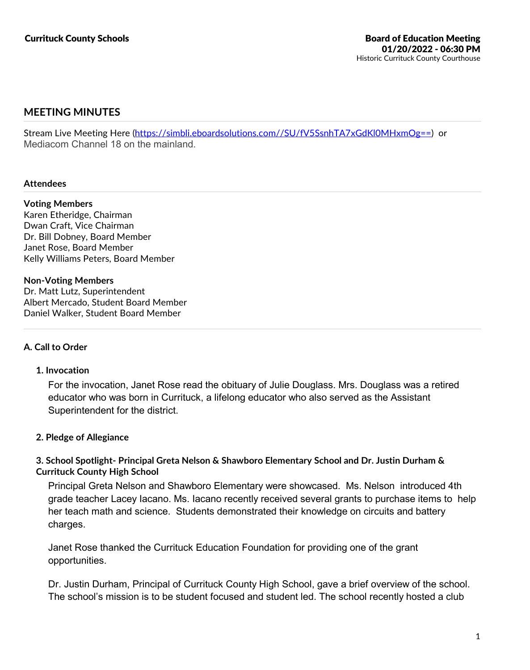# **MEETING MINUTES**

Stream Live Meeting Here (https://simbli.eboardsolutions.com//SU/fV5SsnhTA7xGdKl0MHxmOg==) or Mediacom Channel 18 on the mainland.

### **Attendees**

**Voting Members** Karen Etheridge, Chairman Dwan Craft, Vice Chairman Dr. Bill Dobney, Board Member Janet Rose, Board Member Kelly Williams Peters, Board Member

### **Non-Voting Members**

Dr. Matt Lutz, Superintendent Albert Mercado, Student Board Member Daniel Walker, Student Board Member

## **A. Call to Order**

## **1. Invocation**

For the invocation, Janet Rose read the obituary of Julie Douglass. Mrs. Douglass was a retired educator who was born in Currituck, a lifelong educator who also served as the Assistant Superintendent for the district.

## **2. Pledge of Allegiance**

## **3. School Spotlight- Principal Greta Nelson & Shawboro Elementary School and Dr. Justin Durham & Currituck County High School**

Principal Greta Nelson and Shawboro Elementary were showcased. Ms. Nelson introduced 4th grade teacher Lacey Iacano. Ms. Iacano recently received several grants to purchase items to help her teach math and science. Students demonstrated their knowledge on circuits and battery charges.

Janet Rose thanked the Currituck Education Foundation for providing one of the grant opportunities.

Dr. Justin Durham, Principal of Currituck County High School, gave a brief overview of the school. The school's mission is to be student focused and student led. The school recently hosted a club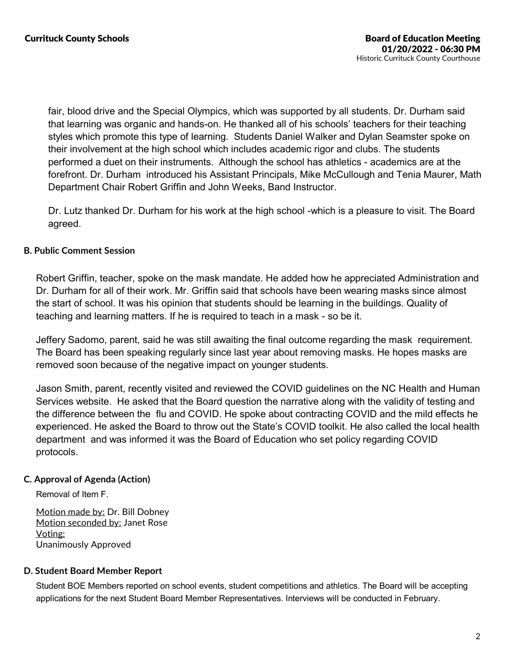fair, blood drive and the Special Olympics, which was supported by all students. Dr. Durham said that learning was organic and hands-on. He thanked all of his schools' teachers for their teaching styles which promote this type of learning. Students Daniel Walker and Dylan Seamster spoke on their involvement at the high school which includes academic rigor and clubs. The students performed a duet on their instruments. Although the school has athletics - academics are at the forefront. Dr. Durham introduced his Assistant Principals, Mike McCullough and Tenia Maurer, Math Department Chair Robert Griffin and John Weeks, Band Instructor.

Dr. Lutz thanked Dr. Durham for his work at the high school -which is a pleasure to visit. The Board agreed.

## **B. Public Comment Session**

Robert Griffin, teacher, spoke on the mask mandate. He added how he appreciated Administration and Dr. Durham for all of their work. Mr. Griffin said that schools have been wearing masks since almost the start of school. It was his opinion that students should be learning in the buildings. Quality of teaching and learning matters. If he is required to teach in a mask - so be it.

Jeffery Sadomo, parent, said he was still awaiting the final outcome regarding the mask requirement. The Board has been speaking regularly since last year about removing masks. He hopes masks are removed soon because of the negative impact on younger students.

Jason Smith, parent, recently visited and reviewed the COVID guidelines on the NC Health and Human Services website. He asked that the Board question the narrative along with the validity of testing and the difference between the flu and COVID. He spoke about contracting COVID and the mild effects he experienced. He asked the Board to throw out the State's COVID toolkit. He also called the local health department and was informed it was the Board of Education who set policy regarding COVID protocols.

## **C. Approval of Agenda (Action)**

Removal of Item F.

Motion made by: Dr. Bill Dobney Motion seconded by: Janet Rose Voting: Unanimously Approved

## **D. Student Board Member Report**

Student BOE Members reported on school events, student competitions and athletics. The Board will be accepting applications for the next Student Board Member Representatives. Interviews will be conducted in February.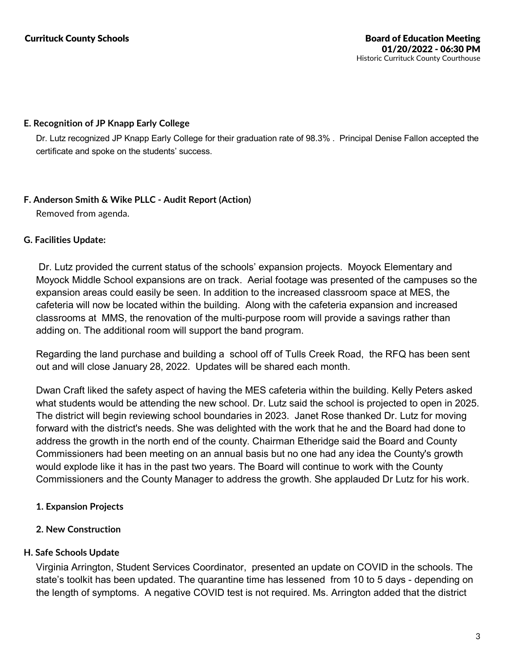## **E. Recognition of JP Knapp Early College**

Dr. Lutz recognized JP Knapp Early College for their graduation rate of 98.3%. Principal Denise Fallon accepted the certificate and spoke on the students' success.

# **F. Anderson Smith & Wike PLLC - Audit Report (Action)**

Removed from agenda.

# **G. Facilities Update:**

Dr. Lutz provided the current status of the schools' expansion projects. Moyock Elementary and Moyock Middle School expansions are on track. Aerial footage was presented of the campuses so the expansion areas could easily be seen. In addition to the increased classroom space at MES, the cafeteria will now be located within the building. Along with the cafeteria expansion and increased classrooms at MMS, the renovation of the multi-purpose room will provide a savings rather than adding on. The additional room will support the band program.

Regarding the land purchase and building a school off of Tulls Creek Road, the RFQ has been sent out and will close January 28, 2022. Updates will be shared each month.

Dwan Craft liked the safety aspect of having the MES cafeteria within the building. Kelly Peters asked what students would be attending the new school. Dr. Lutz said the school is projected to open in 2025. The district will begin reviewing school boundaries in 2023. Janet Rose thanked Dr. Lutz for moving forward with the district's needs. She was delighted with the work that he and the Board had done to address the growth in the north end of the county. Chairman Etheridge said the Board and County Commissioners had been meeting on an annual basis but no one had any idea the County's growth would explode like it has in the past two years. The Board will continue to work with the County Commissioners and the County Manager to address the growth. She applauded Dr Lutz for his work.

- **1. Expansion Projects**
- **2. New Construction**

# **H. Safe Schools Update**

Virginia Arrington, Student Services Coordinator, presented an update on COVID in the schools. The state's toolkit has been updated. The quarantine time has lessened from 10 to 5 days - depending on the length of symptoms. A negative COVID test is not required. Ms. Arrington added that the district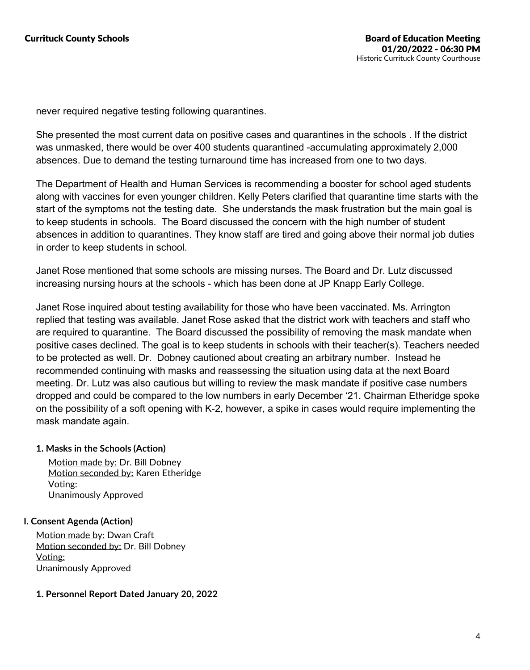never required negative testing following quarantines.

She presented the most current data on positive cases and quarantines in the schools . If the district was unmasked, there would be over 400 students quarantined -accumulating approximately 2,000 absences. Due to demand the testing turnaround time has increased from one to two days.

The Department of Health and Human Services is recommending a booster for school aged students along with vaccines for even younger children. Kelly Peters clarified that quarantine time starts with the start of the symptoms not the testing date. She understands the mask frustration but the main goal is to keep students in schools. The Board discussed the concern with the high number of student absences in addition to quarantines. They know staff are tired and going above their normal job duties in order to keep students in school.

Janet Rose mentioned that some schools are missing nurses. The Board and Dr. Lutz discussed increasing nursing hours at the schools - which has been done at JP Knapp Early College.

Janet Rose inquired about testing availability for those who have been vaccinated. Ms. Arrington replied that testing was available. Janet Rose asked that the district work with teachers and staff who are required to quarantine. The Board discussed the possibility of removing the mask mandate when positive cases declined. The goal is to keep students in schools with their teacher(s). Teachers needed to be protected as well. Dr. Dobney cautioned about creating an arbitrary number. Instead he recommended continuing with masks and reassessing the situation using data at the next Board meeting. Dr. Lutz was also cautious but willing to review the mask mandate if positive case numbers dropped and could be compared to the low numbers in early December '21. Chairman Etheridge spoke on the possibility of a soft opening with K-2, however, a spike in cases would require implementing the mask mandate again.

## **1. Masks in the Schools (Action)**

Motion made by: Dr. Bill Dobney Motion seconded by: Karen Etheridge Voting: Unanimously Approved

## **I. Consent Agenda (Action)**

Motion made by: Dwan Craft Motion seconded by: Dr. Bill Dobney Voting: Unanimously Approved

## **1. Personnel Report Dated January 20, 2022**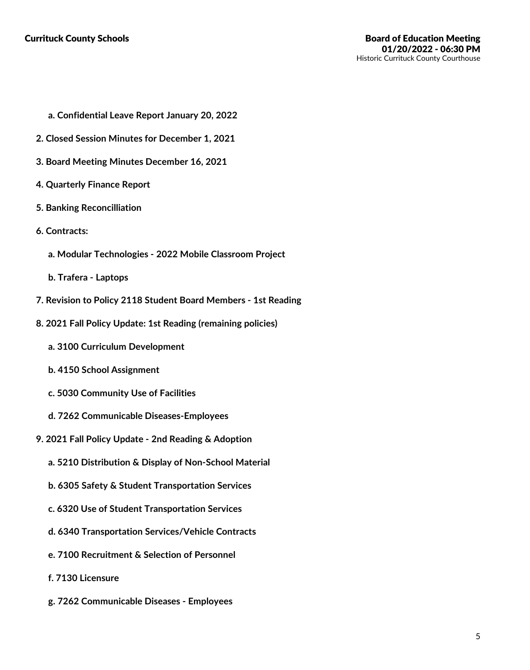- **a. Confidential Leave Report January 20, 2022**
- **2. Closed Session Minutes for December 1, 2021**
- **3. Board Meeting Minutes December 16, 2021**
- **4. Quarterly Finance Report**
- **5. Banking Reconcilliation**
- **6. Contracts:**
	- **a. Modular Technologies - 2022 Mobile Classroom Project**
	- **b. Trafera -Laptops**
- **7. Revision to Policy 2118 Student Board Members - 1st Reading**
- **8. 2021 Fall Policy Update: 1st Reading (remaining policies)**
	- **a. 3100 Curriculum Development**
	- **b. 4150 School Assignment**
	- **c. 5030 Community Use of Facilities**
	- **d. 7262 Communicable Diseases-Employees**
- **9. 2021 Fall Policy Update -2nd Reading & Adoption**
	- **a. 5210 Distribution & Display of Non-School Material**
	- **b. 6305 Safety & Student Transportation Services**
	- **c. 6320 Use of Student Transportation Services**
	- **d. 6340 Transportation Services/Vehicle Contracts**
	- **e. 7100 Recruitment & Selection of Personnel**
	- **f. 7130 Licensure**
	- **g. 7262 Communicable Diseases - Employees**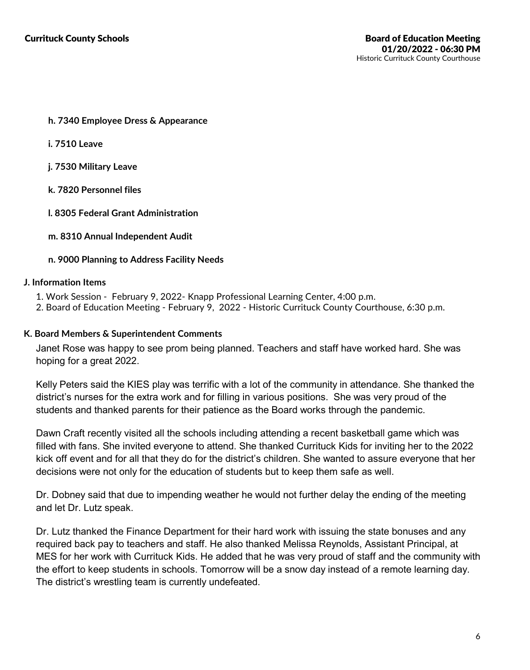- **h. 7340 Employee Dress & Appearance**
- **i. 7510 Leave**
- **j. 7530 Military Leave**
- **k. 7820 Personnel files**
- **l. 8305 Federal Grant Administration**
- **m. 8310 Annual Independent Audit**

### **n. 9000 Planning to Address Facility Needs**

#### **J. Information Items**

- 
- 1. Work Session February 9, 2022- Knapp Professional Learning Center, 4:00 p.m.<br>2. Board of Education Meeting February 9, 2022 Historic Currituck County Courthouse, 6:30 p.m.

### **K. Board Members & Superintendent Comments**

Janet Rose was happy to see prom being planned. Teachers and staff have worked hard. She was hoping for a great 2022.

Kelly Peters said the KIES play was terrific with a lot of the community in attendance. She thanked the district's nurses for the extra work and for filling in various positions. She was very proud of the students and thanked parents for their patience as the Board works through the pandemic.

Dawn Craft recently visited all the schools including attending a recent basketball game which was filled with fans. She invited everyone to attend. She thanked Currituck Kids for inviting her to the 2022 kick off event and for all that they do for the district's children. She wanted to assure everyone that her decisions were not only for the education of students but to keep them safe as well.

Dr. Dobney said that due to impending weather he would not further delay the ending of the meeting and let Dr. Lutz speak.

Dr. Lutz thanked the Finance Department for their hard work with issuing the state bonuses and any required back pay to teachers and staff. He also thanked Melissa Reynolds, Assistant Principal, at MES for her work with Currituck Kids. He added that he was very proud of staff and the community with the effort to keep students in schools. Tomorrow will be a snow day instead of a remote learning day. The district's wrestling team is currently undefeated.